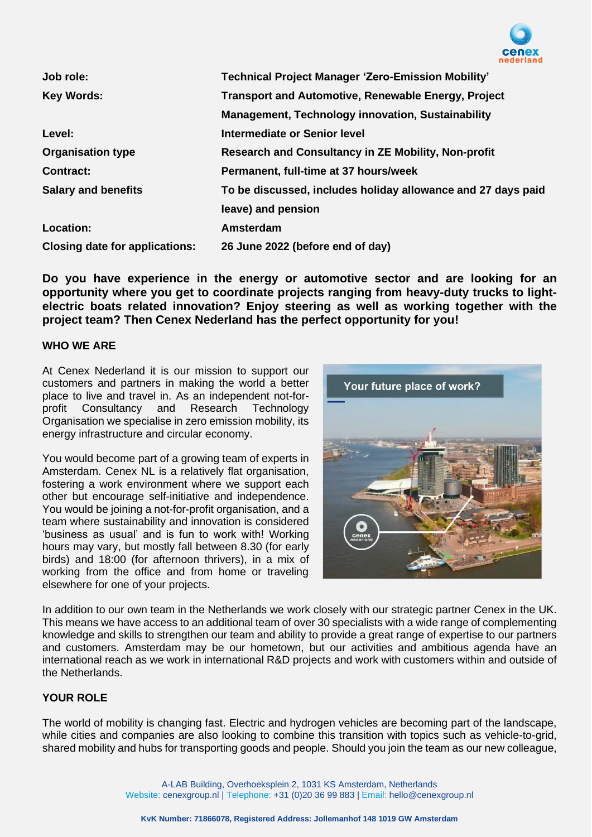

| Job role:                             | <b>Technical Project Manager 'Zero-Emission Mobility'</b>    |
|---------------------------------------|--------------------------------------------------------------|
| <b>Key Words:</b>                     | <b>Transport and Automotive, Renewable Energy, Project</b>   |
|                                       | <b>Management, Technology innovation, Sustainability</b>     |
| Level:                                | Intermediate or Senior level                                 |
| <b>Organisation type</b>              | Research and Consultancy in ZE Mobility, Non-profit          |
| <b>Contract:</b>                      | Permanent, full-time at 37 hours/week                        |
| <b>Salary and benefits</b>            | To be discussed, includes holiday allowance and 27 days paid |
|                                       | leave) and pension                                           |
| Location:                             | Amsterdam                                                    |
| <b>Closing date for applications:</b> | 26 June 2022 (before end of day)                             |

**Do you have experience in the energy or automotive sector and are looking for an opportunity where you get to coordinate projects ranging from heavy-duty trucks to lightelectric boats related innovation? Enjoy steering as well as working together with the project team? Then Cenex Nederland has the perfect opportunity for you!**

### **WHO WE ARE**

At Cenex Nederland it is our mission to support our customers and partners in making the world a better place to live and travel in. As an independent not-for-<br>profit Consultancy and Research Technology Consultancy and Research Technology Organisation we specialise in zero emission mobility, its energy infrastructure and circular economy.

You would become part of a growing team of experts in Amsterdam. Cenex NL is a relatively flat organisation, fostering a work environment where we support each other but encourage self-initiative and independence. You would be joining a not-for-profit organisation, and a team where sustainability and innovation is considered 'business as usual' and is fun to work with! Working hours may vary, but mostly fall between 8.30 (for early birds) and 18:00 (for afternoon thrivers), in a mix of working from the office and from home or traveling elsewhere for one of your projects.



In addition to our own team in the Netherlands we work closely with our strategic partner Cenex in the UK. This means we have access to an additional team of over 30 specialists with a wide range of complementing knowledge and skills to strengthen our team and ability to provide a great range of expertise to our partners and customers. Amsterdam may be our hometown, but our activities and ambitious agenda have an international reach as we work in international R&D projects and work with customers within and outside of the Netherlands.

### **YOUR ROLE**

The world of mobility is changing fast. Electric and hydrogen vehicles are becoming part of the landscape, while cities and companies are also looking to combine this transition with topics such as vehicle-to-grid, shared mobility and hubs for transporting goods and people. Should you join the team as our new colleague,